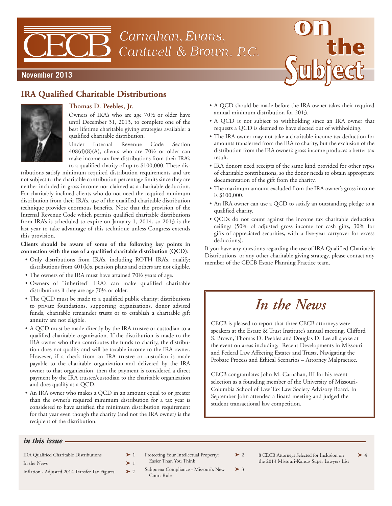# Carnahan, Evans, Cantwell & Brown, P.C.



## **November 2013**

# **IRA Qualified Charitable Distributions**



## **Thomas D. Peebles, Jr.**

Owners of IRA's who are age 70½ or older have until December 31, 2013, to complete one of the best lifetime charitable giving strategies available: a qualified charitable distribution.

Under Internal Revenue Code Section  $408(d)(8)(A)$ , clients who are  $70\frac{1}{2}$  or older can make income tax free distributions from their IRA's to a qualified charity of up to \$100,000. These dis-

tributions satisfy minimum required distribution requirements and are not subject to the charitable contribution percentage limits since they are neither included in gross income nor claimed as a charitable deduction. For charitably inclined clients who do not need the required minimum distribution from their IRA's, use of the qualified charitable distribution technique provides enormous benefits. Note that the provision of the Internal Revenue Code which permits qualified charitable distributions from IRA's is scheduled to expire on January 1, 2014, so 2013 is the last year to take advantage of this technique unless Congress extends this provision.

#### **Clients should be aware of some of the following key points in connection with the use of a qualified charitable distribution (QCD):**

- Only distributions from IRA's, including ROTH IRA's, qualify; distributions from 401(k)s, pension plans and others are not eligible.
- The owners of the IRA must have attained 70½ years of age.
- Owners of "inherited" IRA's can make qualified charitable distributions if they are age 70½ or older.
- The QCD must be made to a qualified public charity; distributions to private foundations, supporting organizations, donor advised funds, charitable remainder trusts or to establish a charitable gift annuity are not eligible.
- A QCD must be made directly by the IRA trustee or custodian to a qualified charitable organization. If the distribution is made to the IRA owner who then contributes the funds to charity, the distribution does not qualify and will be taxable income to the IRA owner. However, if a check from an IRA trustee or custodian is made payable to the charitable organization and delivered by the IRA owner to that organization, then the payment is considered a direct payment by the IRA trustee/custodian to the charitable organization and does qualify as a QCD.
- An IRA owner who makes a QCD in an amount equal to or greater than the owner's required minimum distribution for a tax year is considered to have satisfied the minimum distribution requirement for that year even though the charity (and not the IRA owner) is the recipient of the distribution.
- A QCD should be made before the IRA owner takes their required annual minimum distribution for 2013.
- A QCD is not subject to withholding since an IRA owner that requests a QCD is deemed to have elected out of withholding.
- The IRA owner may not take a charitable income tax deduction for amounts transferred from the IRA to charity, but the exclusion of the distribution from the IRA owner's gross income produces a better tax result.
- IRA donors need receipts of the same kind provided for other types of charitable contributions, so the donor needs to obtain appropriate documentation of the gift from the charity.
- The maximum amount excluded from the IRA owner's gross income is \$100,000.
- An IRA owner can use a QCD to satisfy an outstanding pledge to a qualified charity.
- QCDs do not count against the income tax charitable deduction ceilings (50% of adjusted gross income for cash gifts, 30% for gifts of appreciated securities, with a five-year carryover for excess deductions).

If you have any questions regarding the use of IRA Qualified Charitable Distributions, or any other charitable giving strategy, please contact any member of the CECB Estate Planning Practice team.

# *In the News*

CECB is pleased to report that three CECB attorneys were speakers at the Estate & Trust Institute's annual meeting. Clifford S. Brown, Thomas D. Peebles and Douglas D. Lee all spoke at the event on areas including; Recent Developments in Missouri and Federal Law Affecting Estates and Trusts, Navigating the Probate Process and Ethical Scenarios – Attorney Malpractice.

CECB congratulates John M. Carnahan, III for his recent selection as a founding member of the University of Missouri-Columbia School of Law Tax Law Society Advisory Board. In September John attended a Board meeting and judged the student transactional law competition.

#### *in this issue*

- IRA Qualified Charitable Distributions ▶ 1
- In the News  $\blacktriangleright$  1
- Inflation Adjusted 2014 Transfer Tax Figures  $\triangleright$  2
- Protecting Your Intellectual Property:  $\triangleright$  2 Easier Than You Think
- Subpoena Compliance Missouri's New ▶ 3 Court Rule
- 8 CECB Attorneys Selected for Inclusion on the 2013 Missouri-Kansas Super Lawyers List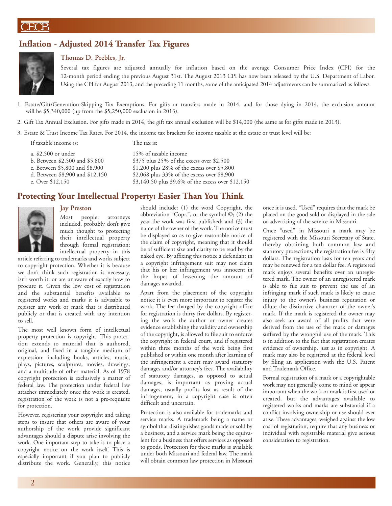## **Inflation - Adjusted 2014 Transfer Tax Figures**



## **Thomas D. Peebles, Jr.**

Several tax figures are adjusted annually for inflation based on the average Consumer Price Index (CPI) for the 12-month period ending the previous August 31st. The August 2013 CPI has now been released by the U.S. Department of Labor. Using the CPI for August 2013, and the preceding 11 months, some of the anticipated 2014 adjustments can be summarized as follows:

1. Estate/Gift/Generation-Skipping Tax Exemptions. For gifts or transfers made in 2014, and for those dying in 2014, the exclusion amount will be \$5,340,000 (up from the \$5,250,000 exclusion in 2013).

2. Gift Tax Annual Exclusion. For gifts made in 2014, the gift tax annual exclusion will be \$14,000 (the same as for gifts made in 2013).

3. Estate & Trust Income Tax Rates. For 2014, the income tax brackets for income taxable at the estate or trust level will be:

| If taxable income is:           | The tax is:                                       |
|---------------------------------|---------------------------------------------------|
| a. \$2,500 or under             | 15% of taxable income                             |
| b. Between \$2,500 and \$5,800  | \$375 plus 25% of the excess over \$2,500         |
| c. Between \$5,800 and \$8.900  | \$1,200 plus 28% of the excess over \$5,800       |
| d. Between \$8,900 and \$12,150 | \$2,068 plus 33% of the excess over \$8,900       |
| e. Over \$12,150                | \$3,140.50 plus 39.6% of the excess over \$12,150 |
|                                 |                                                   |

## **Protecting Your Intellectual Property: Easier Than You Think**



### **Jay Preston**

Most people, attorneys included, probably don't give much thought to protecting their intellectual property through formal registration; intellectual property in this

article referring to trademarks and works subject to copyright protection. Whether it is because we don't think such registration is necessary, isn't worth it, or are unaware of exactly how to procure it. Given the low cost of registration and the substantial benefits available to registered works and marks it is advisable to register any work or mark that is distributed publicly or that is created with any intention to sell.

The most well known form of intellectual property protection is copyright. This protection extends to material that is authored, original, and fixed in a tangible medium of expression: including books, articles, music, plays, pictures, sculptures, movies, drawings, and a multitude of other material. As of 1978 copyright protection is exclusively a matter of federal law. The protection under federal law attaches immediately once the work is created, registration of the work is not a pre-requisite for protection.

However, registering your copyright and taking steps to insure that others are aware of your authorship of the work provide significant advantages should a dispute arise involving the work. One important step to take is to place a copyright notice on the work itself. This is especially important if you plan to publicly distribute the work. Generally, this notice should include: (1) the word Copyright, the abbreviation "Copr.", or the symbol ©; (2) the year the work was first published; and (3) the name of the owner of the work. The notice must be displayed so as to give reasonable notice of the claim of copyright, meaning that it should be of sufficient size and clarity to be read by the naked eye. By affixing this notice a defendant in a copyright infringement suit may not claim that his or her infringement was innocent in the hopes of lessening the amount of damages awarded.

Apart from the placement of the copyright notice it is even more important to register the work. The fee charged by the copyright office for registration is thirty five dollars. By registering the work the author or owner creates evidence establishing the validity and ownership of the copyright, is allowed to file suit to enforce the copyright in federal court, and if registered within three months of the work being first published or within one month after learning of the infringement a court may award statutory damages and/or attorney's fees. The availability of statutory damages, as opposed to actual damages, is important as proving actual damages, usually profits lost as result of the infringement, in a copyright case is often difficult and uncertain.

Protection is also available for trademarks and service marks. A trademark being a name or symbol that distinguishes goods made or sold by a business, and a service mark being the equivalent for a business that offers services as opposed to goods. Protection for these marks is available under both Missouri and federal law. The mark will obtain common law protection in Missouri

once it is used. "Used" requires that the mark be placed on the good sold or displayed in the sale or advertising of the service in Missouri.

Once "used" in Missouri a mark may be registered with the Missouri Secretary of State, thereby obtaining both common law and statutory protections; the registration fee is fifty dollars. The registration lasts for ten years and may be renewed for a ten dollar fee. A registered mark enjoys several benefits over an unregistered mark. The owner of an unregistered mark is able to file suit to prevent the use of an infringing mark if such mark is likely to cause injury to the owner's business reputation or dilute the distinctive character of the owner's mark. If the mark is registered the owner may also seek an award of all profits that were derived from the use of the mark or damages suffered by the wrongful use of the mark. This is in addition to the fact that registration creates evidence of ownership, just as in copyright. A mark may also be registered at the federal level by filing an application with the U.S. Patent and Trademark Office.

Formal registration of a mark or a copyrightable work may not generally come to mind or appear important when the work or mark is first used or created, but the advantages available to registered works and marks are substantial if a conflict involving ownership or use should ever arise. These advantages, weighed against the low cost of registration, require that any business or individual with registrable material give serious consideration to registration.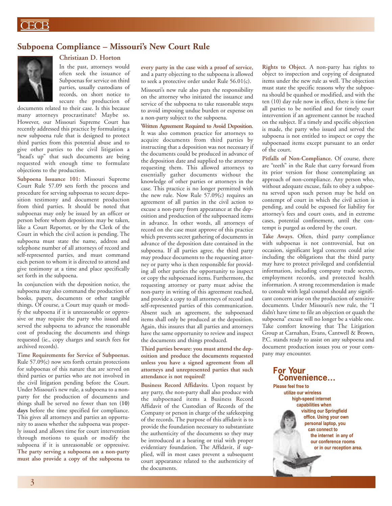## **Subpoena Compliance – Missouri's New Court Rule**



# **Christiaan D. Horton**

In the past, attorneys would often seek the issuance of Subpoenas for service on third parties, usually custodians of records, on short notice to secure the production of

documents related to their case. Is this because many attorneys procrastinate? Maybe so. However, our Missouri Supreme Court has recently addressed this practice by formulating a new subpoena rule that is designed to protect third parties from this potential abuse and to give other parties to the civil litigation a "head's up" that such documents are being requested with enough time to formulate objections to the production.

**Subpoena Issuance 101:** Missouri Supreme Court Rule 57.09 sets forth the process and procedure for serving subpoenas to secure deposition testimony and document production from third parties. It should be noted that subpoenas may only be issued by an officer or person before whom depositions may be taken, like a Court Reporter, or by the Clerk of the Court in which the civil action is pending. The subpoena must state the name, address and telephone number of all attorneys of record and self-represented parties, and must command each person to whom it is directed to attend and give testimony at a time and place specifically set forth in the subpoena.

In conjunction with the deposition notice, the subpoena may also command the production of books, papers, documents or other tangible things. Of course, a Court may quash or modify the subpoena if it is unreasonable or oppressive or may require the party who issued and served the subpoena to advance the reasonable cost of producing the documents and things requested (ie., copy charges and search fees for archived records).

**Time Requirements for Service of Subpoenas.** Rule 57.09(c) now sets forth certain protections for subpoenas of this nature that are served on third parties or parties who are not involved in the civil litigation pending before the Court. Under Missouri's new rule, a subpoena to a nonparty for the production of documents and things shall be served no fewer than ten **(10) days** before the time specified for compliance. This gives all attorneys and parties an opportunity to assess whether the subpoena was properly issued and allows time for court intervention through motions to quash or modify the subpoena if it is unreasonable or oppressive. **The party serving a subpoena on a non-party must also provide a copy of the subpoena to** **every party in the case with a proof of service**, and a party objecting to the subpoena is allowed to seek a protective order under Rule 56.01(c).

Missouri's new rule also puts the responsibility on the attorney who initiated the issuance and service of the subpoena to take reasonable steps to avoid imposing undue burden or expense on a non-party subject to the subpoena.

**Written Agreement Required to Avoid Deposition**. It was also common practice for attorneys to acquire documents from third parties by instructing that a deposition was not necessary if the documents could be produced in advance of the deposition date and supplied to the attorney requesting them. This allowed attorneys to essentially gather documents without the knowledge of other parties or attorneys in the case. This practice is no longer permitted with the new rule. Now Rule 57.09(c) requires an agreement of all parties in the civil action to excuse a non-party from appearance at the deposition and production of the subpoenaed items in advance. In other words, all attorneys of record on the case must approve of this practice which prevents secret gathering of documents in advance of the deposition date contained in the subpoena. If all parties agree, the third party may produce documents to the requesting attorney or party who is then responsible for providing all other parties the opportunity to inspect or copy the subpoenaed items. Furthermore, the requesting attorney or party must advise the non-party in writing of this agreement reached, and provide a copy to all attorneys of record and self-represented parties of this communication. Absent such an agreement, the subpoenaed items shall only be produced at the deposition. Again, this insures that all parties and attorneys have the same opportunity to review and inspect the documents and things produced.

#### **Third parties beware: you must attend the deposition and produce the documents requested unless you have a signed agreement from all attorneys and unrepresented parties that such attendance is not required!**

**Business Record Affidavits.** Upon request by any party, the non-party shall also produce with the subpoenaed items a Business Record Affidavit of the Custodian of Records of the Company or person in charge of the safekeeping of the records. The purpose of this affidavit is to provide the foundation necessary to substantiate the authenticity of the documents so they may be introduced at a hearing or trial with proper evidentiary foundation. The Affidavit, if supplied, will in most cases prevent a subsequent court appearance related to the authenticity of the documents.

**Rights to Object.** A non-party has rights to object to inspection and copying of designated items under the new rule as well. The objection must state the specific reasons why the subpoena should be quashed or modified, and with the ten (10) day rule now in effect, there is time for all parties to be notified and for timely court intervention if an agreement cannot be reached on the subject. If a timely and specific objection is made, the party who issued and served the subpoena is not entitled to inspect or copy the subpoenaed items except pursuant to an order of the court.

**Pitfalls of Non-Compliance.** Of course, there are "teeth" in the Rule that carry forward from its prior version for those contemplating an approach of non-compliance. Any person who, without adequate excuse, fails to obey a subpoena served upon such person may be held on contempt of court in which the civil action is pending, and could be exposed for liability for attorney's fees and court costs, and in extreme cases, potential confinement, until the contempt is purged as ordered by the court.

**Take Aways.** Often, third party compliance with subpoenas is not controversial, but on occasion, significant legal concerns could arise including the obligations that the third party may have to protect privileged and confidential information, including company trade secrets, employment records, and protected health information. A strong recommendation is made to consult with legal counsel should any significant concern arise on the production of sensitive documents. Under Missouri's new rule, the "I didn't have time to file an objection or quash the subpoena" excuse will no longer be a viable one. Take comfort knowing that The Litigation Group at Carnahan, Evans, Cantwell & Brown, P.C. stands ready to assist on any subpoena and document production issues you or your company may encounter.

### **For Your Convenience…**

**Please feel free to utilize our wireless high-speed internet capabilities when visiting our Springfield office. Using your own personal laptop, you can connect to the internet in any of our conference rooms or in our reception area.**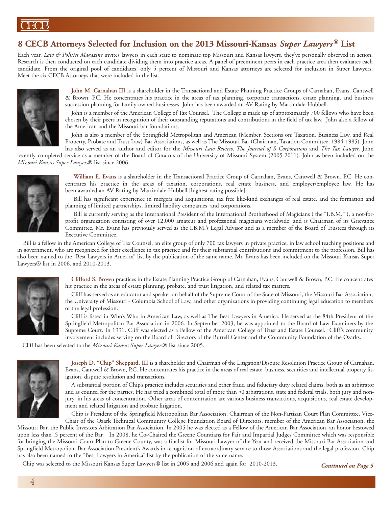# **8 CECB Attorneys Selected for Inclusion on the 2013 Missouri-Kansas** *Super Lawyers* **® List**

Each year, *Law & Politics Magazine* invites lawyers in each state to nominate top Missouri and Kansas lawyers, they've personally observed in action. Research is then conducted on each candidate dividing them into practice areas. A panel of preeminent peers in each practice area then evaluates each candidate. From the original pool of candidates, only 5 percent of Missouri and Kansas attorneys are selected for inclusion in Super Lawyers. Meet the six CECB Attorneys that were included in the list.



**John M. Carnahan III** is a shareholder in the Transactional and Estate Planning Practice Groups of Carnahan, Evans, Cantwell & Brown, P.C. He concentrates his practice in the areas of tax planning, corporate transactions, estate planning, and business succession planning for family-owned businesses. John has been awarded an AV Rating by Martindale-Hubbell.

John is a member of the American College of Tax Counsel. The College is made up of approximately 700 fellows who have been chosen by their peers in recognition of their outstanding reputations and contributions in the field of tax law. John also a fellow of the American and the Missouri bar foundations.

John is also a member of the Springfield Metropolitan and American (Member, Sections on: Taxation, Business Law, and Real Property, Probate and Trust Law) Bar Associations, as well as The Missouri Bar (Chairman, Taxation Committee, 1984-1985). John has also served as an author and editor for the *Missouri Law Review, The Journal of S Corporations* and *The Tax Lawyer*. John

recently completed service as a member of the Board of Curators of the University of Missouri System (2005-2011). John as been included on the *Missouri Kansas Super Lawyers*® list since 2006.



**William E. Evans** is a shareholder in the Transactional Practice Group of Carnahan, Evans, Cantwell & Brown, P.C. He concentrates his practice in the areas of taxation, corporations, real estate business, and employer/employee law. He has been awarded an AV Rating by Martindale-Hubbell [highest rating possible].

Bill has significant experience in mergers and acquisitions, tax free like-kind exchanges of real estate, and the formation and planning of limited partnerships, limited liability companies, and corporations.

Bill is currently serving as the International President of the International Brotherhood of Magicians ( the "I.B.M." ), a not-forprofit organization consisting of over 12,000 amateur and professional magicians worldwide, and is Chairman of its Grievance Committee. Mr. Evans has previously served as the I.B.M.'s Legal Advisor and as a member of the Board of Trustees through its Executive Committee.

Bill is a fellow in the American College of Tax Counsel, an elite group of only 700 tax lawyers in private practice, in law school teaching positions and in government, who are recognized for their excellence in tax practice and for their substantial contributions and commitment to the profession. Bill has also been named to the "Best Lawyers in America" list by the publication of the same name. Mr. Evans has been included on the Missouri Kansas Super Lawyers® list in 2006, and 2010-2013.



**Clifford S. Brown** practices in the Estate Planning Practice Group of Carnahan, Evans, Cantwell & Brown, P.C. He concentrates his practice in the areas of estate planning, probate, and trust litigation, and related tax matters.

Cliff has served as an educator and speaker on behalf of the Supreme Court of the State of Missouri, the Missouri Bar Association, the University of Missouri - Columbia School of Law, and other organizations in providing continuing legal education to members of the legal profession.

Cliff is listed in Who's Who in American Law, as well as The Best Lawyers in America. He served as the 84th President of the Springfield Metropolitan Bar Association in 2006. In September 2003, he was appointed to the Board of Law Examiners by the Supreme Court. In 1991, Cliff was elected as a Fellow of the American College of Trust and Estate Counsel. Cliff's community involvement includes serving on the Board of Directors of the Burrell Center and the Community Foundation of the Ozarks.

Cliff has been selected to the *Missouri Kansas Super Lawyers*® list since 2005.



**Joseph D. "Chip" Sheppard, III** is a shareholder and Chairman of the Litigation/Dispute Resolution Practice Group of Carnahan, Evans, Cantwell & Brown, P.C. He concentrates his practice in the areas of real estate, business, securities and intellectual property litigation, dispute resolution and transactions.

A substantial portion of Chip's practice includes securities and other fraud and fiduciary duty related claims, both as an arbitrator and as counsel for the parties. He has tried a combined total of more than 50 arbitrations, state and federal trials, both jury and nonjury, in his areas of concentration. Other areas of concentration are various business transactions, acquisitions, real estate development and related litigation and probate litigation.

Chip is President of the Springfield Metropolitan Bar Association, Chairman of the Non-Partisan Court Plan Committee, Vice-Chair of the Ozark Technical Community College Foundation Board of Directors, member of the American Bar Association, the

Missouri Bar, the Public Investors Arbitration Bar Association. In 2005 he was elected as a Fellow of the American Bar Association, an honor bestowed upon less than .5 percent of the Bar. In 2008, he Co-Chaired the Greene Countians for Fair and Impartial Judges Committee which was responsible for bringing the Missouri Court Plan to Greene County, was a finalist for Missouri Lawyer of the Year and received the Missouri Bar Association and Springfield Metropolitan Bar Association President's Awards in recognition of extraordinary service to those Associations and the legal profession. Chip has also been named to the "Best Lawyers in America" list by the publication of the same name.

Chip was selected to the Missouri Kansas Super Lawyers® list in 2005 and 2006 and again for 2010-2013. *Continued on Page 5*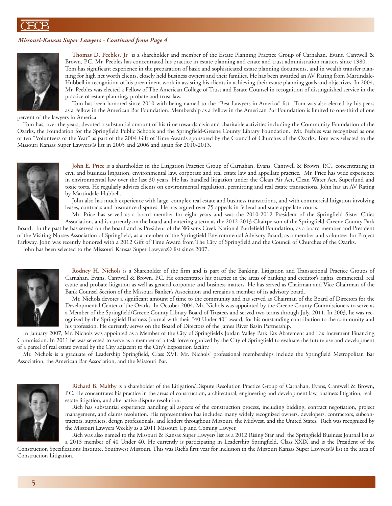### *Missouri-Kansas Super Lawyers - Continued from Page 4*



**Thomas D. Peebles, Jr** is a shareholder and member of the Estate Planning Practice Group of Carnahan, Evans, Cantwell & Brown, P.C. Mr. Peebles has concentrated his practice in estate planning and estate and trust administration matters since 1980. Tom has significant experience in the preparation of basic and sophisticated estate planning documents, and in wealth transfer planning for high net worth clients, closely held business owners and their families. He has been awarded an AV Rating from Martindale-Hubbell in recognition of his preeminent work in assisting his clients in achieving their estate planning goals and objectives. In 2004, Mr. Peebles was elected a Fellow of The American College of Trust and Estate Counsel in recognition of distinguished service in the practice of estate planning, probate and trust law.

Tom has been honored since 2010 with being named to the "Best Lawyers in America" list. Tom was also elected by his peers as a Fellow in the American Bar Foundation. Membership as a Fellow in the American Bar Foundation is limited to one-third of one

percent of the lawyers in America

Tom has, over the years, devoted a substantial amount of his time towards civic and charitable activities including the Community Foundation of the Ozarks, the Foundation for the Springfield Public Schools and the Springfield-Greene County Library Foundation. Mr. Peebles was recognized as one of ten "Volunteers of the Year" as part of the 2004 Gift of Time Awards sponsored by the Council of Churches of the Ozarks. Tom was selected to the Missouri Kansas Super Lawyers® list in 2005 and 2006 and again for 2010-2013.



**John E. Price** is a shareholder in the Litigation Practice Group of Carnahan, Evans, Cantwell & Brown, P.C., concentrating in civil and business litigation, environmental law, corporate and real estate law and appellate practice. Mr. Price has wide experience in environmental law over the last 30 years. He has handled litigation under the Clean Air Act, Clean Water Act, Superfund and toxic torts. He regularly advises clients on environmental regulation, permitting and real estate transactions. John has an AV Rating by Martindale-Hubbell.

John also has much experience with large, complex real estate and business transactions, and with commercial litigation involving leases, contracts and insurance disputes. He has argued over 75 appeals in federal and state appellate courts.

Mr. Price has served as a board member for eight years and was the 2010-2012 President of the Springfield Sister Cities Association, and is currently on the board and entering a term as the 2012-2013 Chairperson of the Springfield-Greene County Park Board. In the past he has served on the board and as President of the Wilsons Creek National Battlefield Foundation, as a board member and President of the Visiting Nurses Association of Springfield, as a member of the Springfield Environmental Advisory Board, as a member and volunteer for Project Parkway. John was recently honored with a 2012 Gift of Time Award from The City of Springfield and the Council of Churches of the Ozarks.

John has been selected to the Missouri Kansas Super Lawyers® list since 2007.



**Rodney H. Nichols** is a Shareholder of the firm and is part of the Banking, Litigation and Transactional Practice Groups of Carnahan, Evans, Cantwell & Brown, P.C. He concentrates his practice in the areas of banking and creditor's rights, commercial, real estate and probate litigation as well as general corporate and business matters. He has served as Chairman and Vice Chairman of the Bank Counsel Section of the Missouri Banker's Association and remains a member of its advisory board.

Mr. Nichols devotes a significant amount of time to the community and has served as Chairman of the Board of Directors for the Developmental Center of the Ozarks. In October 2004, Mr. Nichols was appointed by the Greene County Commissioners to serve as a Member of the Springfield/Greene County Library Board of Trustees and served two terms through July, 2011. In 2003, he was recognized by the Springfield Business Journal with their "40 Under 40" award, for his outstanding contribution to the community and his profession. He currently serves on the Board of Directors of the James River Basin Partnership.

In January 2007, Mr. Nichols was appointed as a Member of the City of Springfield's Jordan Valley Park Tax Abatement and Tax Increment Financing Commission. In 2011 he was selected to serve as a member of a task force organized by the City of Springfield to evaluate the future use and development of a parcel of real estate owned by the City adjacent to the City's Exposition facility.

Mr. Nichols is a graduate of Leadership Springfield, Class XVI. Mr. Nichols' professional memberships include the Springfield Metropolitan Bar Association, the American Bar Association, and the Missouri Bar.



**Richard B. Maltby** is a shareholder of the Litigation/Dispute Resolution Practice Group of Carnahan, Evans, Cantwell & Brown, P.C. He concentrates his practice in the areas of construction, architectural, engineering and development law, business litigation, real estate litigation, and alternative dispute resolution.

Rich has substantial experience handling all aspects of the construction process, including bidding, contract negotiation, project management, and claims resolution. His representation has included many widely recognized owners, developers, contractors, subcontractors, suppliers, design professionals, and lenders throughout Missouri, the Midwest, and the United States. Rich was recognized by the Missouri Lawyers Weekly as a 2011 Missouri Up and Coming Lawyer.

Rich was also named to the Missouri & Kansas Super Lawyers list as a 2012 Rising Star and the Springfield Business Journal list as a 2013 member of 40 Under 40. He currently is participating in Leadership Springfield, Class XXIX and is the President of the

Construction Specifications Institute, Southwest Missouri. This was Rich's first year for inclusion in the Missouri Kansas Super Lawyers® list in the area of Construction Litigation.